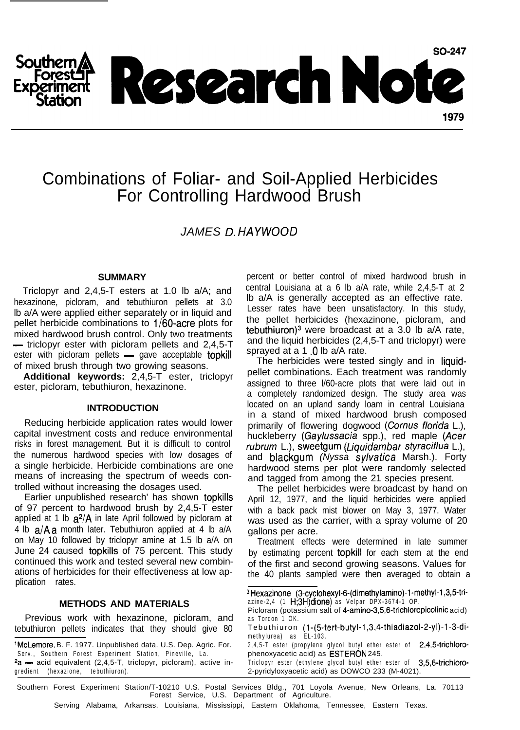

# Combinations of Foliar- and Soil-Applied Herbicides For Controlling Hardwood Brush

*JAMES D. HAYWOOD*

### **SUMMARY**

Triclopyr and 2,4,5-T esters at 1.0 lb a/A; and hexazinone, picloram, and tebuthiuron pellets at 3.0 lb a/A were applied either separately or in liquid and pellet herbicide combinations to  $1/60$ -acre plots for mixed hardwood brush control. Only two treatments pellet herbicide combinations to 1/60-acre plots for<br>mixed hardwood brush control. Only two treatments<br>— triclopyr ester with picloram pellets and 2,4,5-T  $-$  triclopyr ester with picloram pellets and 2,4,5-T ester with picloram pellets  $-$  gave acceptable **topkill** of mixed brush through two growing seasons.

**Additional keywords:** 2,4,5-T ester, triclopyr ester, picloram, tebuthiuron, hexazinone.

#### **INTRODUCTION**

Reducing herbicide application rates would lower capital investment costs and reduce environmental risks in forest management. But it is difficult to control the numerous hardwood species with low dosages of a single herbicide. Herbicide combinations are one means of increasing the spectrum of weeds controlled without increasing the dosages used.

Earlier unpublished research' has shown topkills of 97 percent to hardwood brush by 2,4,5-T ester applied at 1 lb  $a^2/A$  in late April followed by picloram at 4 lb a/Aa month later. Tebuthiuron applied at 4 lb a/A on May 10 followed by triclopyr amine at 1.5 lb a/A on June 24 caused topkills of 75 percent. This study continued this work and tested several new combinations of herbicides for their effectiveness at low application rates.

## **METHODS AND MATERIALS**

Previous work with hexazinone, picloram, and tebuthiuron pellets indicates that they should give 80

'McLemore, B. F. 1977. Unpublished data. U.S. Dep. Agric. For. Serv., Southern Forest Experiment Station, Pineville, La.  $2a$  - acid equivalent (2,4,5-T, triclopyr, picloram), active ingredient (hexazione, tebuthiuron).

percent or better control of mixed hardwood brush in central Louisiana at a 6 lb a/A rate, while 2,4,5-T at 2 lb a/A is generally accepted as an effective rate. Lesser rates have been unsatisfactory. In this study, the pellet herbicides (hexazinone, picloram, and tebuthiuron)<sup>3</sup> were broadcast at a 3.0 lb a/A rate, and the liquid herbicides (2,4,5-T and triclopyr) were sprayed at a 1 .0 lb a/A rate.

The herbicides were tested singly and in liquidpellet combinations. Each treatment was randomly assigned to three l/60-acre plots that were laid out in a completely randomized design. The study area was located on an upland sandy loam in central Louisiana in a stand of mixed hardwood brush composed primarily of flowering dogwood (Cornus *florida* L.), huckleberry (Gaylussacia spp.), red maple *(Acer rubrum* L.), sweetgum *(Liquidambar sfyraciflua* L.), and blackgum *(Nyssa sylvatica* Marsh.). Forty hardwood stems per plot were randomly selected and tagged from among the 21 species present.

The pellet herbicides were broadcast by hand on April 12, 1977, and the liquid herbicides were applied with a back pack mist blower on May 3, 1977. Water was used as the carrier, with a spray volume of 20 gallons per acre.

Treatment effects were determined in late summer by estimating percent topkill for each stem at the end of the first and second growing seasons. Values for the 40 plants sampled were then averaged to obtain a

2,4,5-T ester (propylene glycol butyl ether ester of 2,4,5-trichlorophenoxyacetic acid) as ESTERON 245.

Triclopyr ester (ethylene glycol butyl ether ester of 3,5,6-trichloro-2-pyridyloxyacetic acid) as DOWCO 233 (M-4021).

Southern Forest Experiment Station/T-10210 U.S. Postal Services Bldg., 701 Loyola Avenue, New Orleans, La. 70113 Forest Service, U.S. Department of Agriculture.

Serving Alabama, Arkansas, Louisiana, Mississippi, Eastern Oklahoma, Tennessee, Eastern Texas.

<sup>3</sup>Hexazinone (3-cyclohexyl-6-(dimethylamino)-l-methyl-l,3,5-triazine-2,4  $(1 \text{ H}:3\text{ H})$ dione) as Velpar DPX-3674-1 OP.

Picloram (potassium salt of 4-amino-3,5,6-trichloropicolinic acid) as Tordon 1 OK.

Tebuthiuron (1-(5-tert-butyl-1,3,4-thiadiazol-2-yl)-1-3-dimethylurea) as EL-103.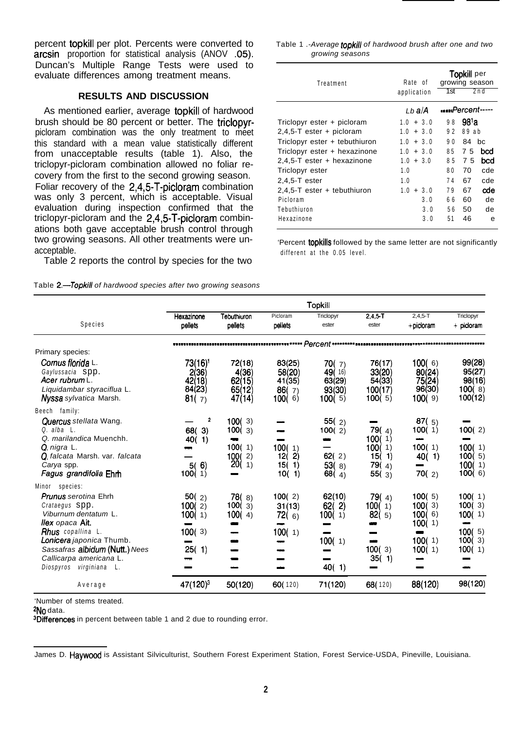percent topkill per plot. Percents were converted to arcsin proportion for statistical analysis (ANOV .05). Duncan's Multiple Range Tests were used to evaluate differences among treatment means.

## **RESULTS AND DISCUSSION**

As mentioned earlier, average topkill of hardwood brush should be 80 percent or better. The triclopyrpicloram combination was the only treatment to meet this standard with a mean value statistically different from unacceptable results (table 1). Also, the triclopyr-picloram combination allowed no foliar recovery from the first to the second growing season. Foliar recovery of the 2,4,5-T-picloram combination was only 3 percent, which is acceptable. Visual evaluation during inspection confirmed that the triclopyr-picloram and the 2,4,5-T-picloram combinations both gave acceptable brush control through two growing seasons. All other treatments were unacceptable.

Table 2 reports the control by species for the two

| Table <b>2.—Topkill</b> of hardwood species after two growing seasons |  |  |  |
|-----------------------------------------------------------------------|--|--|--|
|-----------------------------------------------------------------------|--|--|--|

Table 1 .- Average topkill of hardwood brush after one and two growing seasons

| Treatment                     | Rate of<br>application | <b>Topkill</b> per<br>growing season<br>1st<br>2n d |                   |  |
|-------------------------------|------------------------|-----------------------------------------------------|-------------------|--|
|                               |                        |                                                     |                   |  |
|                               | l b a/A                | <i>Percent-----</i>                                 |                   |  |
| Triclopyr ester + picloram    | $1.0 + 3.0$            | 98                                                  | 98 <sup>1</sup> a |  |
| $2,4,5$ -T ester + picloram   | $1.0 + 3.0$            | 92                                                  | 89 ab             |  |
| Triclopyr ester + tebuthiuron | $1.0 + 3.0$            | 90                                                  | 84<br>bc          |  |
| Triclopyr ester + hexazinone  | $1.0 + 3.0$            | 85                                                  | 75<br>bcd         |  |
| 2,4,5-T ester + hexazinone    | $1.0 + 3.0$            | 85                                                  | bcd<br>75         |  |
| Triclopyr ester               | 1.0                    | 80                                                  | cde<br>70         |  |
| $2,4,5$ -Tester               | 1.0                    | 74                                                  | cde<br>67         |  |
| 2,4,5-T ester + tebuthiuron   | $1.0 + 3.0$            | 79                                                  | αde<br>67         |  |
| Picloram                      | 3.0                    | 66                                                  | de<br>60          |  |
| Tebuthiuron                   | 3.0                    | 56                                                  | de<br>50          |  |
| Hexazinone                    | 3.0                    | 51                                                  | 46<br>e           |  |
|                               |                        |                                                     |                   |  |

'Percent topkills followed by the same letter are not significantly different at the 0.05 level.

|                                                                                                                                                                                                                                                                      | Topkill                                                   |                                                   |                                                             |                                                            |                                                                   |                                                                      |                                                                            |
|----------------------------------------------------------------------------------------------------------------------------------------------------------------------------------------------------------------------------------------------------------------------|-----------------------------------------------------------|---------------------------------------------------|-------------------------------------------------------------|------------------------------------------------------------|-------------------------------------------------------------------|----------------------------------------------------------------------|----------------------------------------------------------------------------|
| Species                                                                                                                                                                                                                                                              | Hexazinone<br>pellets                                     | Tebuthiuron<br>pellets                            | Picloram<br>peliets                                         | Triclopyr<br>ester                                         | $2,4.5 - T$<br>ester                                              | $2,4,5-T$<br>$+$ picloram                                            | Triclopyr<br>+ picloram                                                    |
|                                                                                                                                                                                                                                                                      |                                                           |                                                   |                                                             |                                                            |                                                                   |                                                                      |                                                                            |
| Primary species:                                                                                                                                                                                                                                                     |                                                           |                                                   |                                                             |                                                            |                                                                   |                                                                      |                                                                            |
| Cornus florida L.<br>Gaylussacia SDD.<br>Acer rubrum L.<br>Liquidambar styraciflua L.<br><b>Nyssa</b> sylvatica Marsh.                                                                                                                                               | 73(16) <sup>t</sup><br>2(36)<br>42(18)<br>84(23)<br>81(7) | 72(18)<br>4(36)<br>62(15)<br>65(12)<br>47(14)     | 83(25)<br>58(20)<br>41(35)<br>86(7)<br>100(6)               | 70(7)<br>49(16)<br>63(29)<br>93(30)<br>100(5)              | 76(17)<br>33(20)<br>54(33)<br>100(17)<br>100(5)                   | 100(6)<br>80(24)<br>75(24)<br>96(30)<br>100(9)                       | 99(28)<br>95(27)<br>98(16)<br>100(8)<br>100(12)                            |
| Beech family:                                                                                                                                                                                                                                                        |                                                           |                                                   |                                                             |                                                            |                                                                   |                                                                      |                                                                            |
| <b>Quercus</b> stellata Wang.<br>$Q$ , alba $L$ .<br>Q. marilandica Muenchh.<br>Q. nigra L.<br><b>Q</b> falcata Marsh. var. falcata<br>Carya spp.<br>Fagus grandifolia Ehm                                                                                           | 2<br>68(3)<br>40(1)<br>5(6)<br>100(1)                     | 100(3)<br>100(3)<br>100(1)<br>100(<br>2)<br>20(1) | 100(1)<br>12(<br>$\mathbf{2}$<br>15(<br>$\vert$ 1)<br>10(1) | 55 $(2)$<br>100(2)<br>62(2)<br>53(8)<br>68 $(4)$           | 79 $(4)$<br>100(1)<br>100(1)<br>15(<br>$-1)$<br>79 $(4)$<br>55(3) | 87 $(5)$<br>100(1)<br>100(1)<br>40(1)<br>70(2)                       | 100(2)<br>100(1)<br>100(5)<br>100(1)<br>100(6)                             |
| Minor species:<br><b>Prunus</b> serotina Ehrh<br>Crataegus SPD.<br>Viburnum dentatum L.<br><i>llex opaca Ait.</i><br><b>Rhus</b> copallina L.<br>Lonicera japonica Thumb.<br>Sassafras albidum (Nutt.) Nees<br>Callicarpa americana L.<br>Diospyros virginiana<br>L. | 50(2)<br>100(2)<br>100(1)<br>100(3)<br>25(1)              | 78(8)<br>100(3)<br>100(<br>4)                     | 100(2)<br>31(13)<br>72 $(6)$<br>100(1)                      | 62(10)<br>$\mathbf{2}$<br>62(<br>100(1)<br>100(1)<br>40(1) | 79(4)<br>100(<br>1)<br>82(<br>5)<br>100(3)<br>35(1)               | 100(5)<br>100(3)<br>100(6)<br>100(1)<br>$\equiv$<br>100(1)<br>100(1) | 100(1)<br>100(3)<br>100(1)<br>en en de la fa<br>100(5)<br>100(3)<br>100(1) |
| Average                                                                                                                                                                                                                                                              | 47(120) <sup>3</sup>                                      | 50(120)                                           | 60(120)                                                     | 71(120)                                                    | 68(120)                                                           | 88(120)                                                              | 98(120)                                                                    |

'Number of stems treated.

<sup>2</sup>No data.

<sup>3</sup>Differences in percent between table 1 and 2 due to rounding error.

James D. Havwood is Assistant Silviculturist, Southern Forest Experiment Station, Forest Service-USDA, Pineville, Louisiana.